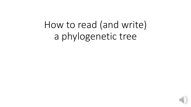# How to read (and write) a phylogenetic tree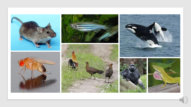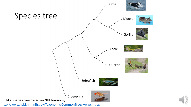



<http://www.ncbi.nlm.nih.gov/Taxonomy/CommonTree/wwwcmt.cgi>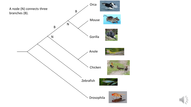

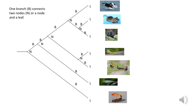















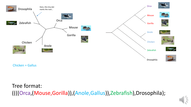

Chicken = Gallus

## Tree format: ((((Orca,(Mouse,Gorilla)),(Anole,Gallus)),Zebrafish),Drosophila);

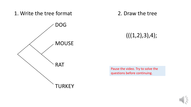1. Write the tree format 2. Draw the tree



(((1,2),3),4);

Pause the video. Try to solve the questions before continuing.

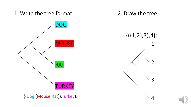1. Write the tree format 2. Draw the tree



((Dog,(Mouse,Rat)),Turkey);



**SUL**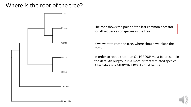### Where is the root of the tree?

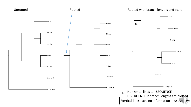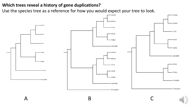#### **Which trees reveal a history of gene duplications?**

Use the species tree as a reference for how you would expect your tree to look.

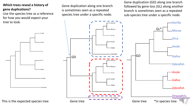#### **Which trees reveal a history of gene duplications?**

Use the species tree as a reference for how you would expect your tree to look.

Gene duplication along one branch is sometimes seen as a repeated species tree under a specific node.

Gene duplication (GD) along one branch followed by gene loss (GL) along another branch is sometimes seen as a repeated sub-species tree under a specific node.